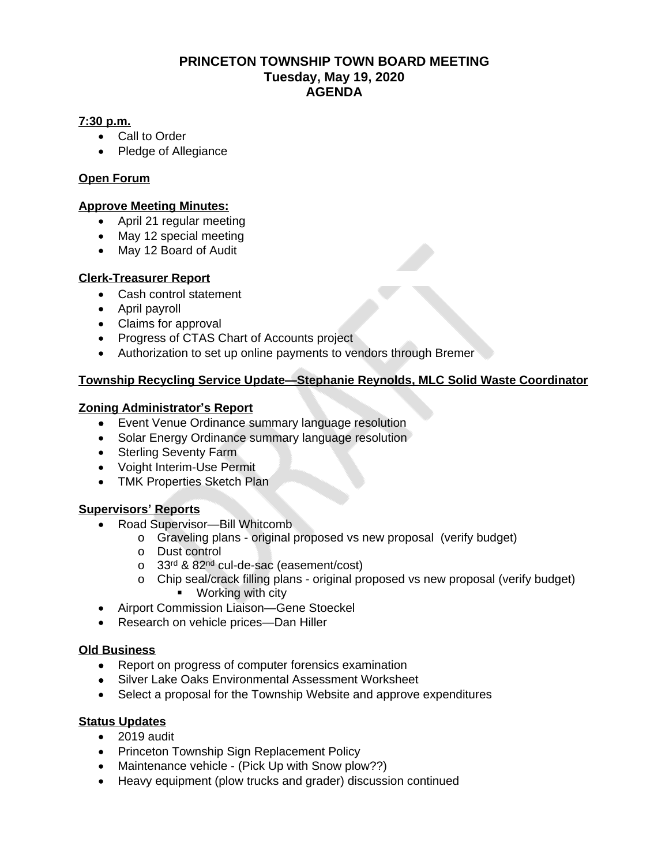# **PRINCETON TOWNSHIP TOWN BOARD MEETING Tuesday, May 19, 2020 AGENDA**

#### **7:30 p.m.**

- Call to Order
- Pledge of Allegiance

# **Open Forum**

#### **Approve Meeting Minutes:**

- April 21 regular meeting
- May 12 special meeting
- May 12 Board of Audit

### **Clerk-Treasurer Report**

- Cash control statement
- April payroll
- Claims for approval
- Progress of CTAS Chart of Accounts project
- Authorization to set up online payments to vendors through Bremer

### **Township Recycling Service Update—Stephanie Reynolds, MLC Solid Waste Coordinator**

### **Zoning Administrator's Report**

- Event Venue Ordinance summary language resolution
- Solar Energy Ordinance summary language resolution
- Sterling Seventy Farm
- Voight Interim-Use Permit
- TMK Properties Sketch Plan

#### **Supervisors' Reports**

- Road Supervisor—Bill Whitcomb
	- o Graveling plans original proposed vs new proposal (verify budget)
	- o Dust control
	- o 33<sup>rd</sup> & 82<sup>nd</sup> cul-de-sac (easement/cost)
	- o Chip seal/crack filling plans original proposed vs new proposal (verify budget) **•** Working with city
- Airport Commission Liaison—Gene Stoeckel
- Research on vehicle prices—Dan Hiller

#### **Old Business**

- Report on progress of computer forensics examination
- Silver Lake Oaks Environmental Assessment Worksheet
- Select a proposal for the Township Website and approve expenditures

#### **Status Updates**

- 2019 audit
- Princeton Township Sign Replacement Policy
- Maintenance vehicle (Pick Up with Snow plow??)
- Heavy equipment (plow trucks and grader) discussion continued